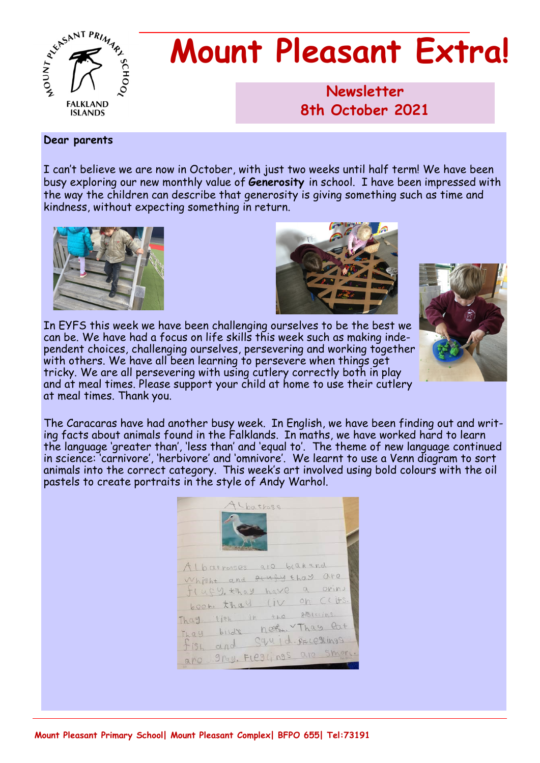

# **Mount Pleasant Extra!**

**Newsletter 1986 8th October 2021**

#### **Dear parents**

I can't believe we are now in October, with just two weeks until half term! We have been busy exploring our new monthly value of **Generosity** in school. I have been impressed with the way the children can describe that generosity is giving something such as time and kindness, without expecting something in return.







In EYFS this week we have been challenging ourselves to be the best we can be. We have had a focus on life skills this week such as making independent choices, challenging ourselves, persevering and working together with others. We have all been learning to persevere when things get tricky. We are all persevering with using cutlery correctly both in play and at meal times. Please support your child at home to use their cutlery at meal times. Thank you.

The Caracaras have had another busy week. In English, we have been finding out and writing facts about animals found in the Falklands. In maths, we have worked hard to learn the language 'greater than', 'less than' and 'equal to'. The theme of new language continued in science: 'carnivore', 'herbivore' and 'omnivore'. We learnt to use a Venn diagram to sort animals into the correct category. This week's art involved using bold colours with the oil pastels to create portraits in the style of Andy Warhol.

| Chatross                                                                                                                                                                                                                                   |  |
|--------------------------------------------------------------------------------------------------------------------------------------------------------------------------------------------------------------------------------------------|--|
| Albatrosses are beakand<br>Whicht and stufy thay are<br>flugy. * hay have a oring<br>boom thay liv on clifs.<br>Thay lith in the policins.<br>Thay bird's next Thay lat<br>fish and Squid sELestings<br>9ray. FLeggings are smort.<br>appO |  |